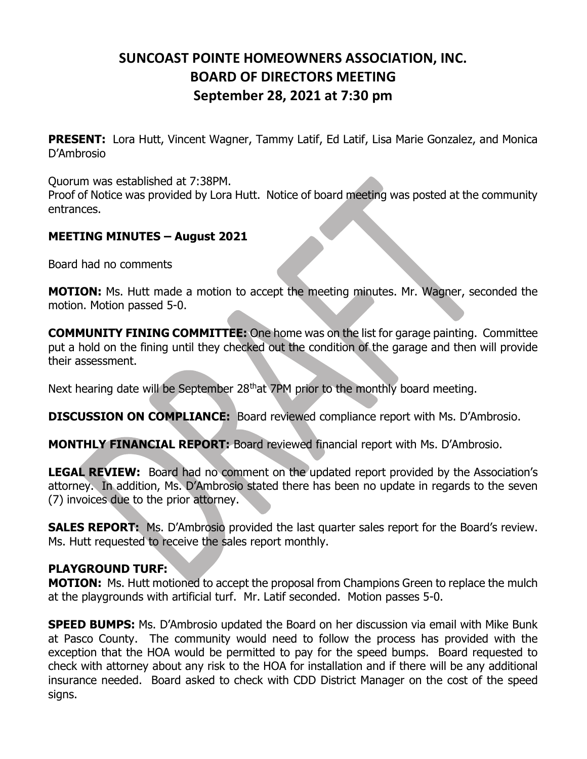## SUNCOAST POINTE HOMEOWNERS ASSOCIATION, INC. BOARD OF DIRECTORS MEETING September 28, 2021 at 7:30 pm

**PRESENT:** Lora Hutt, Vincent Wagner, Tammy Latif, Ed Latif, Lisa Marie Gonzalez, and Monica D'Ambrosio

Quorum was established at 7:38PM.

Proof of Notice was provided by Lora Hutt. Notice of board meeting was posted at the community entrances.

## MEETING MINUTES – August 2021

Board had no comments

MOTION: Ms. Hutt made a motion to accept the meeting minutes. Mr. Wagner, seconded the motion. Motion passed 5-0.

COMMUNITY FINING COMMITTEE: One home was on the list for garage painting. Committee put a hold on the fining until they checked out the condition of the garage and then will provide their assessment.

Next hearing date will be September 28<sup>th</sup>at 7PM prior to the monthly board meeting.

DISCUSSION ON COMPLIANCE: Board reviewed compliance report with Ms. D'Ambrosio.

MONTHLY FINANCIAL REPORT: Board reviewed financial report with Ms. D'Ambrosio.

LEGAL REVIEW: Board had no comment on the updated report provided by the Association's attorney. In addition, Ms. D'Ambrosio stated there has been no update in regards to the seven (7) invoices due to the prior attorney.

**SALES REPORT:** Ms. D'Ambrosio provided the last quarter sales report for the Board's review. Ms. Hutt requested to receive the sales report monthly.

## PLAYGROUND TURF:

**MOTION:** Ms. Hutt motioned to accept the proposal from Champions Green to replace the mulch at the playgrounds with artificial turf. Mr. Latif seconded. Motion passes 5-0.

**SPEED BUMPS:** Ms. D'Ambrosio updated the Board on her discussion via email with Mike Bunk at Pasco County. The community would need to follow the process has provided with the exception that the HOA would be permitted to pay for the speed bumps. Board requested to check with attorney about any risk to the HOA for installation and if there will be any additional insurance needed. Board asked to check with CDD District Manager on the cost of the speed signs.